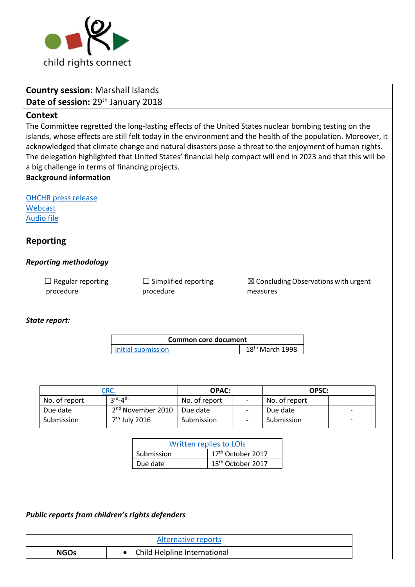

# **Country session:** Marshall Islands Date of session: 29<sup>th</sup> January 2018 **Context** The Committee regretted the long-lasting effects of the United States nuclear bombing testing on the islands, whose effects are still felt today in the environment and the health of the population. Moreover, it acknowledged that climate change and natural disasters pose a threat to the enjoyment of human rights. The delegation highlighted that United States' financial help compact will end in 2023 and that this will be a big challenge in terms of financing projects. **Background information** [OHCHR press release](http://www.ohchr.org/EN/NewsEvents/Pages/DisplayNews.aspx?NewsID=22615&LangID=E) [Webcast](http://webtv.un.org/watch/consideration-of-marshall-islands-2273rd-meeting-77th-session-committee-on-the-rights-of-the-child/5721314884001/) [Audio file](https://conf.unog.ch/digitalrecordings/) **Reporting**  *Reporting methodology*  $\Box$  Regular reporting procedure  $\Box$  Simplified reporting procedure  $\boxtimes$  Concluding Observations with urgent measures *State report:* **Common core document**  [Initial submission](http://tbinternet.ohchr.org/_layouts/treatybodyexternal/Download.aspx?symbolno=HRI%2fCORE%2f1%2fAdd.95&Lang=en) 18<sup>th</sup> March 1998 [CRC:](http://tbinternet.ohchr.org/_layouts/treatybodyexternal/Download.aspx?symbolno=CRC%2fC%2fMHL%2f3-4&Lang=en) **OPAC: OPSC:**  No. of report  $rd_{-4}$ No. of report  $\begin{vmatrix} -1 & \sqrt{1-x^2} & -1 \\ 1 & \sqrt{1-x^2} & -1 \end{vmatrix}$ Due date  $2^{nd}$  November 2010 Due date  $\left\lvert \begin{array}{ccc} 1 & - & \end{array} \right\rvert$  Due date Submission  $7<sup>th</sup>$  July 2016 | Submission | - | Submission | -

| Written replies to LOIs |                               |  |
|-------------------------|-------------------------------|--|
| Submission              | 17th October 2017             |  |
| Due date                | 15 <sup>th</sup> October 2017 |  |

*Public reports from children's rights defenders* 

| Alternative reports |                              |
|---------------------|------------------------------|
| <b>NGOs</b>         | Child Helpline International |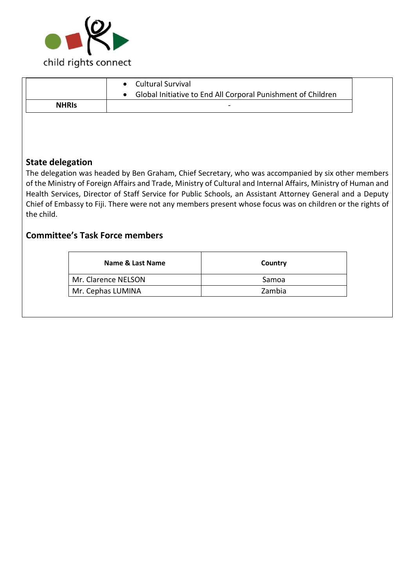

| <b>NHRIS</b> |
|--------------|

# **State delegation**

The delegation was headed by Ben Graham, Chief Secretary, who was accompanied by six other members of the Ministry of Foreign Affairs and Trade, Ministry of Cultural and Internal Affairs, Ministry of Human and Health Services, Director of Staff Service for Public Schools, an Assistant Attorney General and a Deputy Chief of Embassy to Fiji. There were not any members present whose focus was on children or the rights of the child.

# **Committee's Task Force members**

| Name & Last Name    | Country |
|---------------------|---------|
| Mr. Clarence NELSON | Samoa   |
| Mr. Cephas LUMINA   | Zambia  |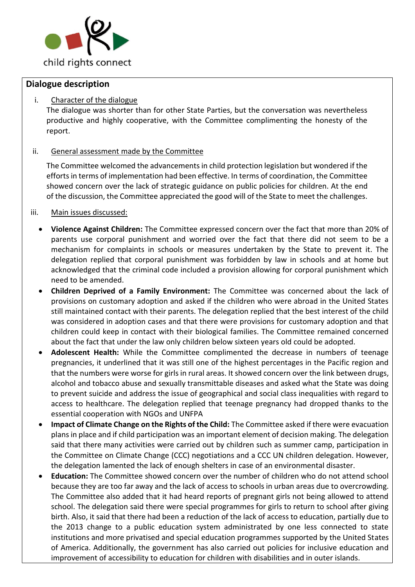

## **Dialogue description**

#### i. Character of the dialogue

The dialogue was shorter than for other State Parties, but the conversation was nevertheless productive and highly cooperative, with the Committee complimenting the honesty of the report.

#### ii. General assessment made by the Committee

The Committee welcomed the advancements in child protection legislation but wondered if the efforts in terms of implementation had been effective. In terms of coordination, the Committee showed concern over the lack of strategic guidance on public policies for children. At the end of the discussion, the Committee appreciated the good will of the State to meet the challenges.

#### iii. Main issues discussed:

- **Violence Against Children:** The Committee expressed concern over the fact that more than 20% of parents use corporal punishment and worried over the fact that there did not seem to be a mechanism for complaints in schools or measures undertaken by the State to prevent it. The delegation replied that corporal punishment was forbidden by law in schools and at home but acknowledged that the criminal code included a provision allowing for corporal punishment which need to be amended.
- **Children Deprived of a Family Environment:** The Committee was concerned about the lack of provisions on customary adoption and asked if the children who were abroad in the United States still maintained contact with their parents. The delegation replied that the best interest of the child was considered in adoption cases and that there were provisions for customary adoption and that children could keep in contact with their biological families. The Committee remained concerned about the fact that under the law only children below sixteen years old could be adopted.
- **Adolescent Health:** While the Committee complimented the decrease in numbers of teenage pregnancies, it underlined that it was still one of the highest percentages in the Pacific region and that the numbers were worse for girls in rural areas. It showed concern over the link between drugs, alcohol and tobacco abuse and sexually transmittable diseases and asked what the State was doing to prevent suicide and address the issue of geographical and social class inequalities with regard to access to healthcare. The delegation replied that teenage pregnancy had dropped thanks to the essential cooperation with NGOs and UNFPA
- **Impact of Climate Change on the Rights of the Child:** The Committee asked if there were evacuation plans in place and if child participation was an important element of decision making. The delegation said that there many activities were carried out by children such as summer camp, participation in the Committee on Climate Change (CCC) negotiations and a CCC UN children delegation. However, the delegation lamented the lack of enough shelters in case of an environmental disaster.
- **Education:** The Committee showed concern over the number of children who do not attend school because they are too far away and the lack of access to schools in urban areas due to overcrowding. The Committee also added that it had heard reports of pregnant girls not being allowed to attend school. The delegation said there were special programmes for girls to return to school after giving birth. Also, it said that there had been a reduction of the lack of access to education, partially due to the 2013 change to a public education system administrated by one less connected to state institutions and more privatised and special education programmes supported by the United States of America. Additionally, the government has also carried out policies for inclusive education and improvement of accessibility to education for children with disabilities and in outer islands.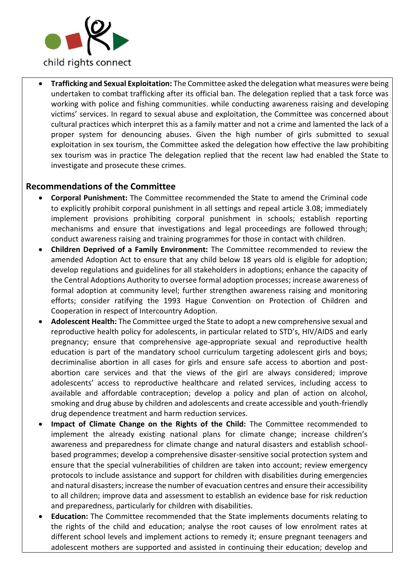

• **Trafficking and Sexual Exploitation:** The Committee asked the delegation what measures were being undertaken to combat trafficking after its official ban. The delegation replied that a task force was working with police and fishing communities. while conducting awareness raising and developing victims' services. In regard to sexual abuse and exploitation, the Committee was concerned about cultural practices which interpret this as a family matter and not a crime and lamented the lack of a proper system for denouncing abuses. Given the high number of girls submitted to sexual exploitation in sex tourism, the Committee asked the delegation how effective the law prohibiting sex tourism was in practice The delegation replied that the recent law had enabled the State to investigate and prosecute these crimes.

## **Recommendations of the Committee**

- **Corporal Punishment:** The Committee recommended the State to amend the Criminal code to explicitly prohibit corporal punishment in all settings and repeal article 3.08; immediately implement provisions prohibiting corporal punishment in schools; establish reporting mechanisms and ensure that investigations and legal proceedings are followed through; conduct awareness raising and training programmes for those in contact with children.
- **Children Deprived of a Family Environment:** The Committee recommended to review the amended Adoption Act to ensure that any child below 18 years old is eligible for adoption; develop regulations and guidelines for all stakeholders in adoptions; enhance the capacity of the Central Adoptions Authority to oversee formal adoption processes; increase awareness of formal adoption at community level; further strengthen awareness raising and monitoring efforts; consider ratifying the 1993 Hague Convention on Protection of Children and Cooperation in respect of Intercountry Adoption.
- **Adolescent Health:** The Committee urged the State to adopt a new comprehensive sexual and reproductive health policy for adolescents, in particular related to STD's, HIV/AIDS and early pregnancy; ensure that comprehensive age-appropriate sexual and reproductive health education is part of the mandatory school curriculum targeting adolescent girls and boys; decriminalise abortion in all cases for girls and ensure safe access to abortion and postabortion care services and that the views of the girl are always considered; improve adolescents' access to reproductive healthcare and related services, including access to available and affordable contraception; develop a policy and plan of action on alcohol, smoking and drug abuse by children and adolescents and create accessible and youth-friendly drug dependence treatment and harm reduction services.
- **Impact of Climate Change on the Rights of the Child:** The Committee recommended to implement the already existing national plans for climate change; increase children's awareness and preparedness for climate change and natural disasters and establish schoolbased programmes; develop a comprehensive disaster-sensitive social protection system and ensure that the special vulnerabilities of children are taken into account; review emergency protocols to include assistance and support for children with disabilities during emergencies and natural disasters; increase the number of evacuation centres and ensure their accessibility to all children; improve data and assessment to establish an evidence base for risk reduction and preparedness, particularly for children with disabilities.
- **Education:** The Committee recommended that the State implements documents relating to the rights of the child and education; analyse the root causes of low enrolment rates at different school levels and implement actions to remedy it; ensure pregnant teenagers and adolescent mothers are supported and assisted in continuing their education; develop and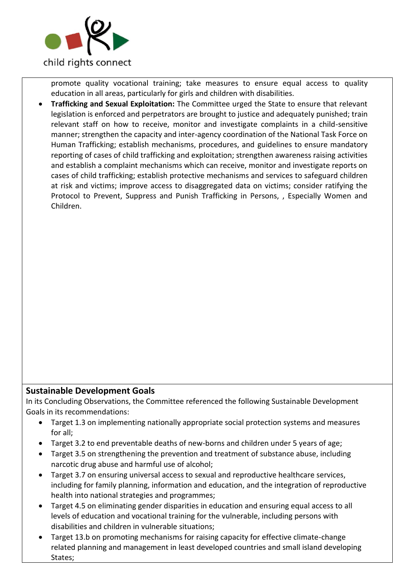

promote quality vocational training; take measures to ensure equal access to quality education in all areas, particularly for girls and children with disabilities.

• **Trafficking and Sexual Exploitation:** The Committee urged the State to ensure that relevant legislation is enforced and perpetrators are brought to justice and adequately punished; train relevant staff on how to receive, monitor and investigate complaints in a child-sensitive manner; strengthen the capacity and inter-agency coordination of the National Task Force on Human Trafficking; establish mechanisms, procedures, and guidelines to ensure mandatory reporting of cases of child trafficking and exploitation; strengthen awareness raising activities and establish a complaint mechanisms which can receive, monitor and investigate reports on cases of child trafficking; establish protective mechanisms and services to safeguard children at risk and victims; improve access to disaggregated data on victims; consider ratifying the Protocol to Prevent, Suppress and Punish Trafficking in Persons, , Especially Women and Children.

## **Sustainable Development Goals**

In its Concluding Observations, the Committee referenced the following Sustainable Development Goals in its recommendations:

- Target 1.3 on implementing nationally appropriate social protection systems and measures for all;
- Target 3.2 to end preventable deaths of new-borns and children under 5 years of age;
- Target 3.5 on strengthening the prevention and treatment of substance abuse, including narcotic drug abuse and harmful use of alcohol;
- Target 3.7 on ensuring universal access to sexual and reproductive healthcare services, including for family planning, information and education, and the integration of reproductive health into national strategies and programmes;
- Target 4.5 on eliminating gender disparities in education and ensuring equal access to all levels of education and vocational training for the vulnerable, including persons with disabilities and children in vulnerable situations;
- Target 13.b on promoting mechanisms for raising capacity for effective climate-change related planning and management in least developed countries and small island developing States;